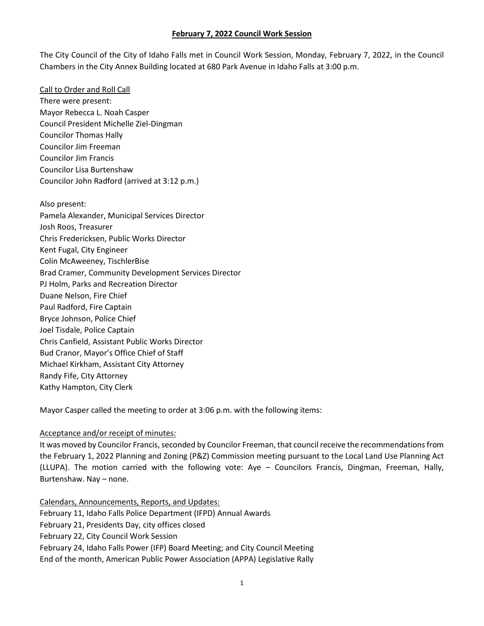The City Council of the City of Idaho Falls met in Council Work Session, Monday, February 7, 2022, in the Council Chambers in the City Annex Building located at 680 Park Avenue in Idaho Falls at 3:00 p.m.

Call to Order and Roll Call There were present: Mayor Rebecca L. Noah Casper Council President Michelle Ziel-Dingman Councilor Thomas Hally Councilor Jim Freeman Councilor Jim Francis Councilor Lisa Burtenshaw Councilor John Radford (arrived at 3:12 p.m.)

Also present: Pamela Alexander, Municipal Services Director Josh Roos, Treasurer Chris Fredericksen, Public Works Director Kent Fugal, City Engineer Colin McAweeney, TischlerBise Brad Cramer, Community Development Services Director PJ Holm, Parks and Recreation Director Duane Nelson, Fire Chief Paul Radford, Fire Captain Bryce Johnson, Police Chief Joel Tisdale, Police Captain Chris Canfield, Assistant Public Works Director Bud Cranor, Mayor's Office Chief of Staff Michael Kirkham, Assistant City Attorney Randy Fife, City Attorney Kathy Hampton, City Clerk

Mayor Casper called the meeting to order at 3:06 p.m. with the following items:

## Acceptance and/or receipt of minutes:

It was moved by Councilor Francis, seconded by Councilor Freeman, that council receive the recommendations from the February 1, 2022 Planning and Zoning (P&Z) Commission meeting pursuant to the Local Land Use Planning Act (LLUPA). The motion carried with the following vote: Aye – Councilors Francis, Dingman, Freeman, Hally, Burtenshaw. Nay – none.

Calendars, Announcements, Reports, and Updates: February 11, Idaho Falls Police Department (IFPD) Annual Awards February 21, Presidents Day, city offices closed February 22, City Council Work Session February 24, Idaho Falls Power (IFP) Board Meeting; and City Council Meeting End of the month, American Public Power Association (APPA) Legislative Rally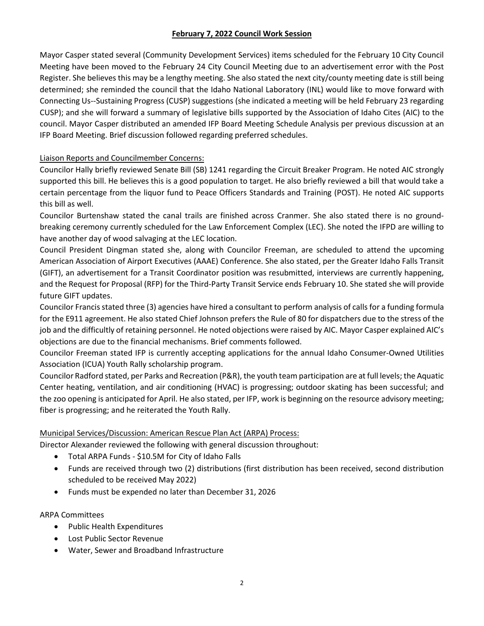Mayor Casper stated several (Community Development Services) items scheduled for the February 10 City Council Meeting have been moved to the February 24 City Council Meeting due to an advertisement error with the Post Register. She believes this may be a lengthy meeting. She also stated the next city/county meeting date is still being determined; she reminded the council that the Idaho National Laboratory (INL) would like to move forward with Connecting Us--Sustaining Progress (CUSP) suggestions (she indicated a meeting will be held February 23 regarding CUSP); and she will forward a summary of legislative bills supported by the Association of Idaho Cites (AIC) to the council. Mayor Casper distributed an amended IFP Board Meeting Schedule Analysis per previous discussion at an IFP Board Meeting. Brief discussion followed regarding preferred schedules.

# Liaison Reports and Councilmember Concerns:

Councilor Hally briefly reviewed Senate Bill (SB) 1241 regarding the Circuit Breaker Program. He noted AIC strongly supported this bill. He believes this is a good population to target. He also briefly reviewed a bill that would take a certain percentage from the liquor fund to Peace Officers Standards and Training (POST). He noted AIC supports this bill as well.

Councilor Burtenshaw stated the canal trails are finished across Cranmer. She also stated there is no groundbreaking ceremony currently scheduled for the Law Enforcement Complex (LEC). She noted the IFPD are willing to have another day of wood salvaging at the LEC location.

Council President Dingman stated she, along with Councilor Freeman, are scheduled to attend the upcoming American Association of Airport Executives (AAAE) Conference. She also stated, per the Greater Idaho Falls Transit (GIFT), an advertisement for a Transit Coordinator position was resubmitted, interviews are currently happening, and the Request for Proposal (RFP) for the Third-Party Transit Service ends February 10. She stated she will provide future GIFT updates.

Councilor Francisstated three (3) agencies have hired a consultant to perform analysis of calls for a funding formula for the E911 agreement. He also stated Chief Johnson prefers the Rule of 80 for dispatchers due to the stress of the job and the difficultly of retaining personnel. He noted objections were raised by AIC. Mayor Casper explained AIC's objections are due to the financial mechanisms. Brief comments followed.

Councilor Freeman stated IFP is currently accepting applications for the annual Idaho Consumer-Owned Utilities Association (ICUA) Youth Rally scholarship program.

Councilor Radford stated, per Parks and Recreation (P&R), the youth team participation are at full levels; the Aquatic Center heating, ventilation, and air conditioning (HVAC) is progressing; outdoor skating has been successful; and the zoo opening is anticipated for April. He also stated, per IFP, work is beginning on the resource advisory meeting; fiber is progressing; and he reiterated the Youth Rally.

## Municipal Services/Discussion: American Rescue Plan Act (ARPA) Process:

Director Alexander reviewed the following with general discussion throughout:

- Total ARPA Funds \$10.5M for City of Idaho Falls
- Funds are received through two (2) distributions (first distribution has been received, second distribution scheduled to be received May 2022)
- Funds must be expended no later than December 31, 2026

ARPA Committees

- Public Health Expenditures
- Lost Public Sector Revenue
- Water, Sewer and Broadband Infrastructure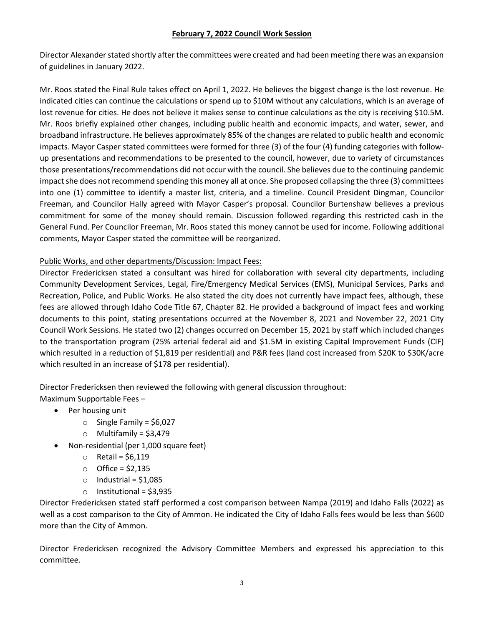Director Alexander stated shortly after the committees were created and had been meeting there was an expansion of guidelines in January 2022.

Mr. Roos stated the Final Rule takes effect on April 1, 2022. He believes the biggest change is the lost revenue. He indicated cities can continue the calculations or spend up to \$10M without any calculations, which is an average of lost revenue for cities. He does not believe it makes sense to continue calculations as the city is receiving \$10.5M. Mr. Roos briefly explained other changes, including public health and economic impacts, and water, sewer, and broadband infrastructure. He believes approximately 85% of the changes are related to public health and economic impacts. Mayor Casper stated committees were formed for three (3) of the four (4) funding categories with followup presentations and recommendations to be presented to the council, however, due to variety of circumstances those presentations/recommendations did not occur with the council. She believes due to the continuing pandemic impact she does not recommend spending this money all at once. She proposed collapsing the three (3) committees into one (1) committee to identify a master list, criteria, and a timeline. Council President Dingman, Councilor Freeman, and Councilor Hally agreed with Mayor Casper's proposal. Councilor Burtenshaw believes a previous commitment for some of the money should remain. Discussion followed regarding this restricted cash in the General Fund. Per Councilor Freeman, Mr. Roos stated this money cannot be used for income. Following additional comments, Mayor Casper stated the committee will be reorganized.

### Public Works, and other departments/Discussion: Impact Fees:

Director Fredericksen stated a consultant was hired for collaboration with several city departments, including Community Development Services, Legal, Fire/Emergency Medical Services (EMS), Municipal Services, Parks and Recreation, Police, and Public Works. He also stated the city does not currently have impact fees, although, these fees are allowed through Idaho Code Title 67, Chapter 82. He provided a background of impact fees and working documents to this point, stating presentations occurred at the November 8, 2021 and November 22, 2021 City Council Work Sessions. He stated two (2) changes occurred on December 15, 2021 by staff which included changes to the transportation program (25% arterial federal aid and \$1.5M in existing Capital Improvement Funds (CIF) which resulted in a reduction of \$1,819 per residential) and P&R fees (land cost increased from \$20K to \$30K/acre which resulted in an increase of \$178 per residential).

Director Fredericksen then reviewed the following with general discussion throughout: Maximum Supportable Fees –

- Per housing unit
	- $\circ$  Single Family = \$6,027
	- $\circ$  Multifamily = \$3,479
- Non-residential (per 1,000 square feet)
	- $\circ$  Retail = \$6,119
	- $\circ$  Office = \$2,135
	- $\circ$  Industrial = \$1,085
	- $\circ$  Institutional = \$3,935

Director Fredericksen stated staff performed a cost comparison between Nampa (2019) and Idaho Falls (2022) as well as a cost comparison to the City of Ammon. He indicated the City of Idaho Falls fees would be less than \$600 more than the City of Ammon.

Director Fredericksen recognized the Advisory Committee Members and expressed his appreciation to this committee.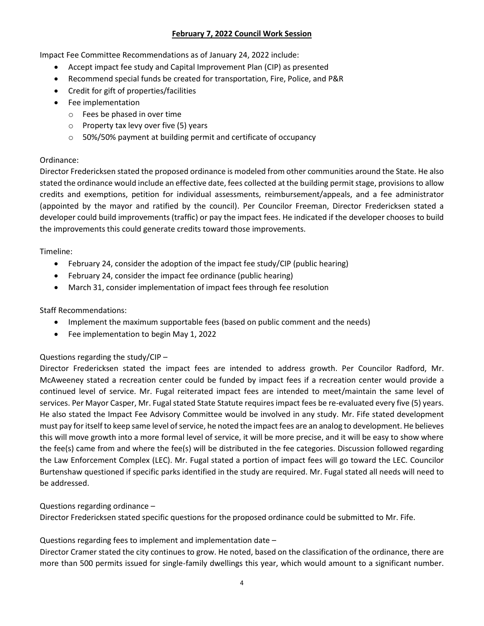Impact Fee Committee Recommendations as of January 24, 2022 include:

- Accept impact fee study and Capital Improvement Plan (CIP) as presented
- Recommend special funds be created for transportation, Fire, Police, and P&R
- Credit for gift of properties/facilities
- Fee implementation
	- o Fees be phased in over time
	- o Property tax levy over five (5) years
	- o 50%/50% payment at building permit and certificate of occupancy

### Ordinance:

Director Fredericksen stated the proposed ordinance is modeled from other communities around the State. He also stated the ordinance would include an effective date, fees collected at the building permit stage, provisions to allow credits and exemptions, petition for individual assessments, reimbursement/appeals, and a fee administrator (appointed by the mayor and ratified by the council). Per Councilor Freeman, Director Fredericksen stated a developer could build improvements (traffic) or pay the impact fees. He indicated if the developer chooses to build the improvements this could generate credits toward those improvements.

### Timeline:

- February 24, consider the adoption of the impact fee study/CIP (public hearing)
- February 24, consider the impact fee ordinance (public hearing)
- March 31, consider implementation of impact fees through fee resolution

## Staff Recommendations:

- Implement the maximum supportable fees (based on public comment and the needs)
- Fee implementation to begin May 1, 2022

## Questions regarding the study/CIP –

Director Fredericksen stated the impact fees are intended to address growth. Per Councilor Radford, Mr. McAweeney stated a recreation center could be funded by impact fees if a recreation center would provide a continued level of service. Mr. Fugal reiterated impact fees are intended to meet/maintain the same level of services. Per Mayor Casper, Mr. Fugal stated State Statute requires impact fees be re-evaluated every five (5) years. He also stated the Impact Fee Advisory Committee would be involved in any study. Mr. Fife stated development must pay for itself to keep same level of service, he noted the impact fees are an analog to development. He believes this will move growth into a more formal level of service, it will be more precise, and it will be easy to show where the fee(s) came from and where the fee(s) will be distributed in the fee categories. Discussion followed regarding the Law Enforcement Complex (LEC). Mr. Fugal stated a portion of impact fees will go toward the LEC. Councilor Burtenshaw questioned if specific parks identified in the study are required. Mr. Fugal stated all needs will need to be addressed.

## Questions regarding ordinance –

Director Fredericksen stated specific questions for the proposed ordinance could be submitted to Mr. Fife.

## Questions regarding fees to implement and implementation date –

Director Cramer stated the city continues to grow. He noted, based on the classification of the ordinance, there are more than 500 permits issued for single-family dwellings this year, which would amount to a significant number.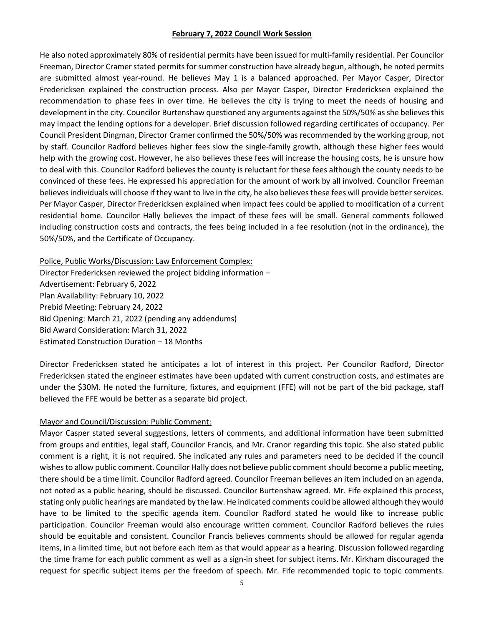He also noted approximately 80% of residential permits have been issued for multi-family residential. Per Councilor Freeman, Director Cramer stated permits for summer construction have already begun, although, he noted permits are submitted almost year-round. He believes May 1 is a balanced approached. Per Mayor Casper, Director Fredericksen explained the construction process. Also per Mayor Casper, Director Fredericksen explained the recommendation to phase fees in over time. He believes the city is trying to meet the needs of housing and development in the city. Councilor Burtenshaw questioned any arguments against the 50%/50% as she believes this may impact the lending options for a developer. Brief discussion followed regarding certificates of occupancy. Per Council President Dingman, Director Cramer confirmed the 50%/50% was recommended by the working group, not by staff. Councilor Radford believes higher fees slow the single-family growth, although these higher fees would help with the growing cost. However, he also believes these fees will increase the housing costs, he is unsure how to deal with this. Councilor Radford believes the county is reluctant for these fees although the county needs to be convinced of these fees. He expressed his appreciation for the amount of work by all involved. Councilor Freeman believes individuals will choose if they want to live in the city, he also believes these fees will provide better services. Per Mayor Casper, Director Fredericksen explained when impact fees could be applied to modification of a current residential home. Councilor Hally believes the impact of these fees will be small. General comments followed including construction costs and contracts, the fees being included in a fee resolution (not in the ordinance), the 50%/50%, and the Certificate of Occupancy.

Police, Public Works/Discussion: Law Enforcement Complex: Director Fredericksen reviewed the project bidding information – Advertisement: February 6, 2022 Plan Availability: February 10, 2022 Prebid Meeting: February 24, 2022 Bid Opening: March 21, 2022 (pending any addendums) Bid Award Consideration: March 31, 2022 Estimated Construction Duration – 18 Months

Director Fredericksen stated he anticipates a lot of interest in this project. Per Councilor Radford, Director Fredericksen stated the engineer estimates have been updated with current construction costs, and estimates are under the \$30M. He noted the furniture, fixtures, and equipment (FFE) will not be part of the bid package, staff believed the FFE would be better as a separate bid project.

#### Mayor and Council/Discussion: Public Comment:

Mayor Casper stated several suggestions, letters of comments, and additional information have been submitted from groups and entities, legal staff, Councilor Francis, and Mr. Cranor regarding this topic. She also stated public comment is a right, it is not required. She indicated any rules and parameters need to be decided if the council wishes to allow public comment. Councilor Hally does not believe public comment should become a public meeting, there should be a time limit. Councilor Radford agreed. Councilor Freeman believes an item included on an agenda, not noted as a public hearing, should be discussed. Councilor Burtenshaw agreed. Mr. Fife explained this process, stating only public hearings are mandated by the law. He indicated comments could be allowed although they would have to be limited to the specific agenda item. Councilor Radford stated he would like to increase public participation. Councilor Freeman would also encourage written comment. Councilor Radford believes the rules should be equitable and consistent. Councilor Francis believes comments should be allowed for regular agenda items, in a limited time, but not before each item as that would appear as a hearing. Discussion followed regarding the time frame for each public comment as well as a sign-in sheet for subject items. Mr. Kirkham discouraged the request for specific subject items per the freedom of speech. Mr. Fife recommended topic to topic comments.